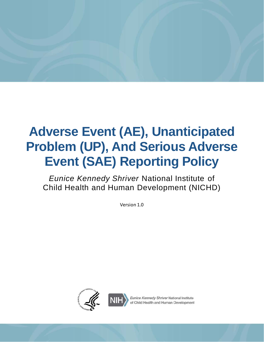

# **Adverse Event (AE), Unanticipated Problem (UP), And Serious Adverse Event (SAE) Reporting Policy**

*Eunice Kennedy Shriver* National Institute of Child Health and Human Development (NICHD)

Version 1.0



Eunice Kennedy Shriver National Institute hild Health and Human Development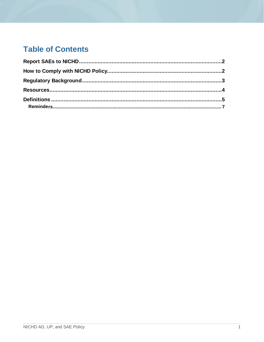# **Table of Contents**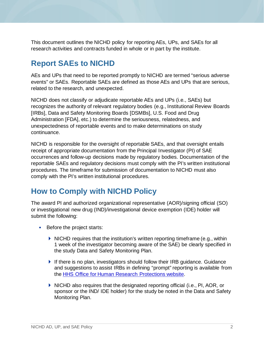This document outlines the NICHD policy for reporting AEs, UPs, and SAEs for all research activities and contracts funded in whole or in part by the institute.

#### <span id="page-2-0"></span>**Report SAEs to NICHD**

AEs and UPs that need to be reported promptly to NICHD are termed "serious adverse events" or SAEs. Reportable SAEs are defined as those AEs and UPs that are serious, related to the research, and unexpected.

NICHD does not classify or adjudicate reportable AEs and UPs (i.e., SAEs) but recognizes the authority of relevant regulatory bodies (e.g., Institutional Review Boards [IRBs], Data and Safety Monitoring Boards [DSMBs], U.S. Food and Drug Administration [FDA], etc.) to determine the seriousness, relatedness, and unexpectedness of reportable events and to make determinations on study continuance.

NICHD is responsible for the oversight of reportable SAEs, and that oversight entails receipt of appropriate documentation from the Principal Investigator (PI) of SAE occurrences and follow-up decisions made by regulatory bodies. Documentation of the reportable SAEs and regulatory decisions must comply with the PI's written institutional procedures. The timeframe for submission of documentation to NICHD must also comply with the PI's written institutional procedures.

# <span id="page-2-1"></span>**How to Comply with NICHD Policy**

The award PI and authorized organizational representative (AOR)/signing official (SO) or investigational new drug (IND)/investigational device exemption (IDE) holder will submit the following:

- Before the project starts:
	- $\blacktriangleright$  NICHD requires that the institution's written reporting timeframe (e.g., within 1 week of the investigator becoming aware of the SAE) be clearly specified in the study Data and Safety Monitoring Plan.
	- If there is no plan, investigators should follow their IRB guidance. Guidance and suggestions to assist IRBs in defining "prompt" reporting is available from the [HHS Office for Human Research Protections website.](https://www.hhs.gov/ohrp/regulations-and-policy/guidance/reviewing-unanticipated-problems/index.html#Q2)
	- $\blacktriangleright$  NICHD also requires that the designated reporting official (i.e., PI, AOR, or sponsor or the IND/ IDE holder) for the study be noted in the Data and Safety Monitoring Plan.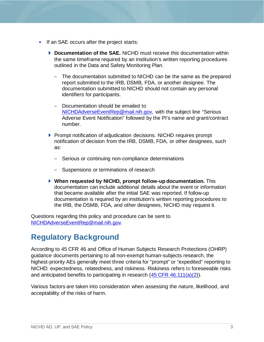- If an SAE occurs after the project starts:
	- **Documentation of the SAE.** NICHD must receive this documentation within the same timeframe required by an institution's written reporting procedures outlined in the Data and Safety Monitoring Plan.
		- The documentation submitted to NICHD can be the same as the prepared report submitted to the IRB, DSMB, FDA, or another designee. The documentation submitted to NICHD should not contain any personal identifiers for participants.
		- Documentation should be emailed to [NICHDAdverseEventRep@mail.nih.gov,](mailto:NICHDAdverseEventRep@mail.nih.gov) with the subject line "Serious Adverse Event Notification" followed by the PI's name and grant/contract number.
	- **Prompt notification of adjudication decisions. NICHD requires prompt** notification of decision from the IRB, DSMB, FDA, or other designees, such as:
		- Serious or continuing non-compliance determinations
		- Suspensions or terminations of research
	- **When requested by NICHD, prompt follow-up documentation.** This documentation can include additional details about the event or information that became available after the initial SAE was reported. If follow-up documentation is required by an institution's written reporting procedures to the IRB, the DSMB, FDA, and other designees, NICHD may request it.

Questions regarding this policy and procedure can be sent to [NICHDAdverseEventRep@mail.nih.gov.](mailto:NICHDAdverseEventRep@mail.nih.gov) 

# <span id="page-3-0"></span>**Regulatory Background**

According to 45 CFR 46 and Office of Human Subjects Research Protections (OHRP) guidance documents pertaining to all non-exempt human-subjects research, the highest-priority AEs generally meet three criteria for "prompt" or "expedited" reporting to NICHD: expectedness, relatedness, and riskiness. Riskiness refers to foreseeable risks and anticipated benefits to participating in research [\(45 CFR 46.111\(a\)\(2\)](http://www.hhs.gov/ohrp/humansubjects/guidance/45cfr46.html#46.111(a)(2))).

Various factors are taken into consideration when assessing the nature, likelihood, and acceptability of the risks of harm.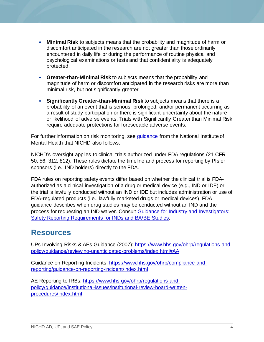- **Minimal Risk** to subjects means that the probability and magnitude of harm or discomfort anticipated in the research are not greater than those ordinarily encountered in daily life or during the performance of routine physical and psychological examinations or tests and that confidentiality is adequately protected.
- **Greater-than-Minimal Risk** to subjects means that the probability and magnitude of harm or discomfort anticipated in the research risks are more than minimal risk, but not significantly greater.
- **Significantly Greater-than-Minimal Risk** to subjects means that there is a probability of an event that is serious, prolonged, and/or permanent occurring as a result of study participation or there is significant uncertainty about the nature or likelihood of adverse events. Trials with Significantly Greater than Minimal Risk require adequate protections for foreseeable adverse events.

For further information on risk monitoring, see [guidance](https://www.nimh.nih.gov/funding/clinical-research/nimh-guidance-on-risk-based-monitoring.shtml) from the National Institute of Mental Health that NICHD also follows.

NICHD's oversight applies to clinical trials authorized under FDA regulations (21 CFR 50, 56, 312, 812). These rules dictate the timeline and process for reporting by PIs or sponsors (i.e., IND holders) directly to the FDA.

FDA rules on reporting safety events differ based on whether the clinical trial is FDAauthorized as a clinical investigation of a drug or medical device (e.g., IND or IDE) or the trial is lawfully conducted without an IND or IDE but includes administration or use of FDA-regulated products (i.e., lawfully marketed drugs or medical devices). FDA guidance describes when drug studies may be conducted without an IND and the process for requesting an IND waiver. Consult [Guidance for Industry and Investigators:](https://www.fda.gov/regulatory-information/search-fda-guidance-documents/safety-reporting-requirements-inds-investigational-new-drug-applications-and-babe)  [Safety Reporting Requirements for INDs and BA/BE Studies.](https://www.fda.gov/regulatory-information/search-fda-guidance-documents/safety-reporting-requirements-inds-investigational-new-drug-applications-and-babe)

#### <span id="page-4-0"></span>**Resources**

UPs Involving Risks & AEs Guidance (2007): [https://www.hhs.gov/ohrp/regulations-and](https://www.hhs.gov/ohrp/regulations-and-policy/guidance/reviewing-unanticipated-problems/index.html#AA)[policy/guidance/reviewing-unanticipated-problems/index.html#AA](https://www.hhs.gov/ohrp/regulations-and-policy/guidance/reviewing-unanticipated-problems/index.html#AA) 

Guidance on Reporting Incidents: [https://www.hhs.gov/ohrp/compliance-and](https://www.hhs.gov/ohrp/compliance-and-reporting/guidance-on-reporting-incident/index.html)[reporting/guidance-on-reporting-incident/index.html](https://www.hhs.gov/ohrp/compliance-and-reporting/guidance-on-reporting-incident/index.html)

AE Reporting to IRBs: [https://www.hhs.gov/ohrp/regulations-and](https://www.hhs.gov/ohrp/regulations-and-policy/guidance/institutional-issues/institutional-review-board-written-procedures/index.html)[policy/guidance/institutional-issues/institutional-review-board-written](https://www.hhs.gov/ohrp/regulations-and-policy/guidance/institutional-issues/institutional-review-board-written-procedures/index.html)[procedures/index.html](https://www.hhs.gov/ohrp/regulations-and-policy/guidance/institutional-issues/institutional-review-board-written-procedures/index.html)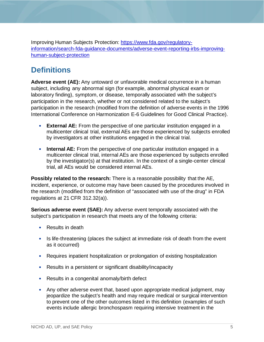Improving Human Subjects Protection: [https://www.fda.gov/regulatory](https://www.fda.gov/regulatory-information/search-fda-guidance-documents/adverse-event-reporting-irbs-improving-human-subject-protection)[information/search-fda-guidance-documents/adverse-event-reporting-irbs-improving](https://www.fda.gov/regulatory-information/search-fda-guidance-documents/adverse-event-reporting-irbs-improving-human-subject-protection)[human-subject-protection](https://www.fda.gov/regulatory-information/search-fda-guidance-documents/adverse-event-reporting-irbs-improving-human-subject-protection)

# <span id="page-5-0"></span>**Definitions**

**Adverse event (AE):** Any untoward or unfavorable medical occurrence in a human subject, including any abnormal sign (for example, abnormal physical exam or laboratory finding), symptom, or disease, temporally associated with the subject's participation in the research, whether or not considered related to the subject's participation in the research (modified from the definition of adverse events in the 1996 International Conference on Harmonization E-6 Guidelines for Good Clinical Practice).

- **External AE:** From the perspective of one particular institution engaged in a multicenter clinical trial, external AEs are those experienced by subjects enrolled by investigators at other institutions engaged in the clinical trial.
- **Internal AE:** From the perspective of one particular institution engaged in a multicenter clinical trial, internal AEs are those experienced by subjects enrolled by the investigator(s) at that institution. In the context of a single-center clinical trial, all AEs would be considered internal AEs.

**Possibly related to the research:** There is a reasonable possibility that the AE, incident, experience, or outcome may have been caused by the procedures involved in the research (modified from the definition of "associated with use of the drug" in FDA regulations at 21 CFR 312.32(a)).

**Serious adverse event (SAE):** Any adverse event temporally associated with the subject's participation in research that meets any of the following criteria:

- Results in death
- Is life-threatening (places the subject at immediate risk of death from the event as it occurred)
- Requires inpatient hospitalization or prolongation of existing hospitalization
- Results in a persistent or significant disability/incapacity
- Results in a congenital anomaly/birth defect
- Any other adverse event that, based upon appropriate medical judgment, may jeopardize the subject's health and may require medical or surgical intervention to prevent one of the other outcomes listed in this definition (examples of such events include allergic bronchospasm requiring intensive treatment in the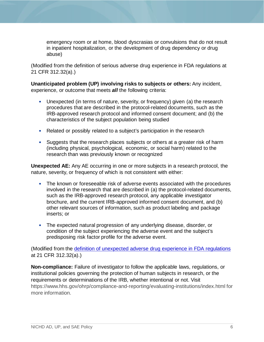emergency room or at home, blood dyscrasias or convulsions that do not result in inpatient hospitalization, or the development of drug dependency or drug abuse)

(Modified from the definition of serious adverse drug experience in FDA regulations at 21 CFR 312.32(a).)

**Unanticipated problem (UP) involving risks to subjects or others:** Any incident, experience, or outcome that meets *all* the following criteria:

- Unexpected (in terms of nature, severity, or frequency) given (a) the research procedures that are described in the protocol-related documents, such as the IRB-approved research protocol and informed consent document; and (b) the characteristics of the subject population being studied
- Related or possibly related to a subject's participation in the research
- Suggests that the research places subjects or others at a greater risk of harm (including physical, psychological, economic, or social harm) related to the research than was previously known or recognized

**Unexpected AE:** Any AE occurring in one or more subjects in a research protocol, the nature, severity, or frequency of which is not consistent with either:

- The known or foreseeable risk of adverse events associated with the procedures involved in the research that are described in (a) the protocol-related documents, such as the IRB-approved research protocol, any applicable investigator brochure, and the current IRB-approved informed consent document, and (b) other relevant sources of information, such as product labeling and package inserts; or
- The expected natural progression of any underlying disease, disorder, or condition of the subject experiencing the adverse event and the subject's predisposing risk factor profile for the adverse event.

(Modified from the [definition of unexpected adverse drug experience in FDA regulations](https://www.hhs.gov/ohrp/regulations-and-policy/guidance/reviewing-unanticipated-problems/index.html#Q2) at 21 CFR 312.32(a).)

**Non-compliance:** Failure of investigator to follow the applicable laws, regulations, or institutional policies governing the protection of human subjects in research, or the requirements or determinations of the IRB, whether intentional or not. Visit <https://www.hhs.gov/ohrp/compliance-and-reporting/evaluating-institutions/index.html> for more information.